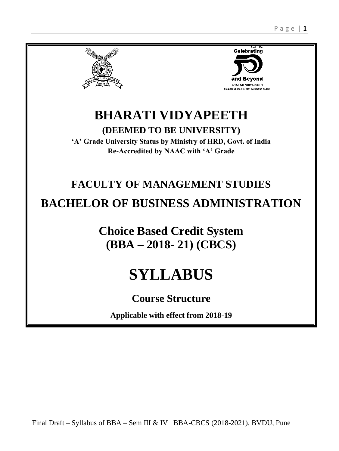



# **BHARATI VIDYAPEETH**

**(DEEMED TO BE UNIVERSITY)**

**'A' Grade University Status by Ministry of HRD, Govt. of India Re-Accredited by NAAC with 'A' Grade**

# **FACULTY OF MANAGEMENT STUDIES**

# **BACHELOR OF BUSINESS ADMINISTRATION**

**Choice Based Credit System (BBA – 2018- 21) (CBCS)**

# **SYLLABUS**

## **Course Structure**

**Applicable with effect from 2018-19**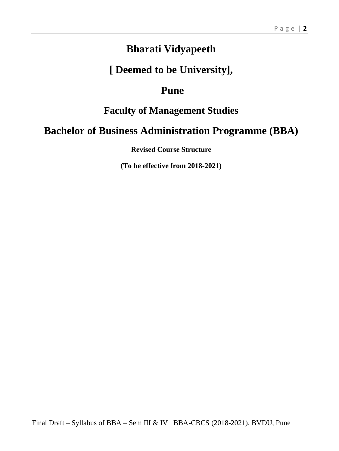## **Bharati Vidyapeeth**

## **[ Deemed to be University],**

## **Pune**

## **Faculty of Management Studies**

## **Bachelor of Business Administration Programme (BBA)**

**Revised Course Structure** 

**(To be effective from 2018-2021)**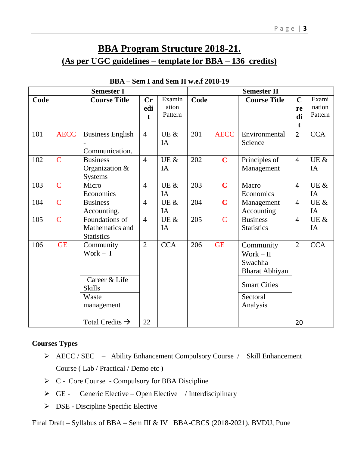## **BBA Program Structure 2018-21. (As per UGC guidelines – template for BBA – 136 credits)**

| <b>Semester I</b> |                |                                                                                  |                                    | <b>Semester II</b>         |      |                |                                                                                                    |                              |                            |
|-------------------|----------------|----------------------------------------------------------------------------------|------------------------------------|----------------------------|------|----------------|----------------------------------------------------------------------------------------------------|------------------------------|----------------------------|
| Code              |                | <b>Course Title</b>                                                              | $\mathbf{C}\mathbf{r}$<br>edi<br>t | Examin<br>ation<br>Pattern | Code |                | <b>Course Title</b>                                                                                | $\mathbf C$<br>re<br>di<br>t | Exami<br>nation<br>Pattern |
| 101               | <b>AECC</b>    | <b>Business English</b><br>Communication.                                        | $\overline{4}$                     | UE &<br>IA                 | 201  | <b>AECC</b>    | Environmental<br>Science                                                                           | $\overline{2}$               | <b>CCA</b>                 |
| 102               | $\overline{C}$ | <b>Business</b><br>Organization &<br>Systems                                     | $\overline{4}$                     | UE &<br>IA                 | 202  | $\mathbf C$    | Principles of<br>Management                                                                        | $\overline{4}$               | UE &<br>IA                 |
| 103               | $\overline{C}$ | Micro<br>Economics                                                               | $\overline{4}$                     | UE &<br>IA                 | 203  | $\overline{C}$ | Macro<br>Economics                                                                                 | $\overline{4}$               | UE &<br>IA                 |
| 104               | $\overline{C}$ | <b>Business</b><br>Accounting.                                                   | $\overline{4}$                     | UE &<br>IA                 | 204  | $\mathbf C$    | Management<br>Accounting                                                                           | $\overline{4}$               | UE $\&$<br>IA              |
| 105               | $\overline{C}$ | Foundations of<br>Mathematics and<br><b>Statistics</b>                           | $\overline{4}$                     | UE $\&$<br>IA              | 205  | $\overline{C}$ | <b>Business</b><br><b>Statistics</b>                                                               | $\overline{4}$               | UE &<br>IA                 |
| 106               | <b>GE</b>      | Community<br>Work $- I$<br>Career & Life<br><b>Skills</b><br>Waste<br>management | $\overline{2}$                     | <b>CCA</b>                 | 206  | <b>GE</b>      | Community<br>Work – II<br>Swachha<br>Bharat Abhiyan<br><b>Smart Cities</b><br>Sectoral<br>Analysis | $\overline{2}$               | <b>CCA</b>                 |
|                   |                | Total Credits $\rightarrow$                                                      | 22                                 |                            |      |                |                                                                                                    | 20                           |                            |

#### **BBA – Sem I and Sem II w.e.f 2018-19**

#### **Courses Types**

- AECC / SEC Ability Enhancement Compulsory Course / Skill Enhancement Course ( Lab / Practical / Demo etc )
- $\triangleright$  C Core Course Compulsory for BBA Discipline
- $\triangleright$  GE Generic Elective Open Elective / Interdisciplinary
- $\triangleright$  DSE Discipline Specific Elective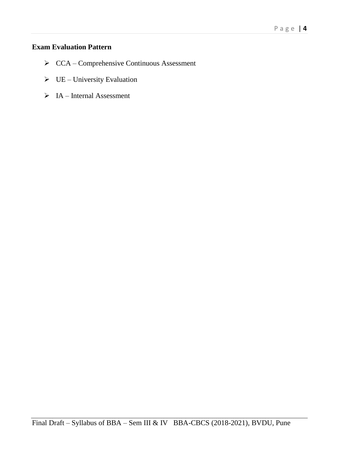#### **Exam Evaluation Pattern**

- CCA Comprehensive Continuous Assessment
- $\triangleright$  UE University Evaluation
- $\triangleright$  IA Internal Assessment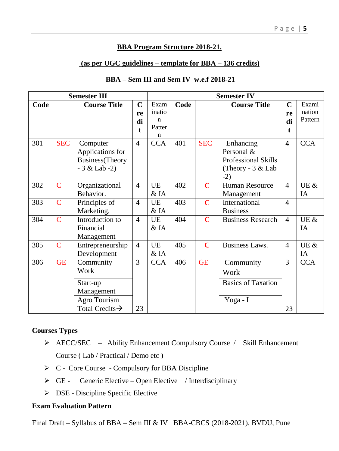#### **BBA Program Structure 2018-21.**

#### **(as per UGC guidelines – template for BBA – 136 credits)**

#### **BBA – Sem III and Sem IV w.e.f 2018-21**

| <b>Semester III</b> |                |                                                                              |                                         | <b>Semester IV</b>                 |      |             |                                                                                       |                               |                            |
|---------------------|----------------|------------------------------------------------------------------------------|-----------------------------------------|------------------------------------|------|-------------|---------------------------------------------------------------------------------------|-------------------------------|----------------------------|
| Code                |                | <b>Course Title</b>                                                          | $\mathbf C$<br>re<br>di<br>$\mathbf{t}$ | Exam<br>inatio<br>n<br>Patter<br>n | Code |             | <b>Course Title</b>                                                                   | $\mathbf C$<br>re<br>di<br>t. | Exami<br>nation<br>Pattern |
| 301                 | <b>SEC</b>     | Computer<br>Applications for<br><b>Business</b> (Theory<br>$-3 &$ Lab $-2$ ) | $\overline{4}$                          | <b>CCA</b>                         | 401  | <b>SEC</b>  | Enhancing<br>Personal &<br><b>Professional Skills</b><br>(Theory - $3 &$ Lab<br>$-2)$ | 4                             | <b>CCA</b>                 |
| 302                 | $\mathbf C$    | Organizational<br>Behavior.                                                  | $\overline{4}$                          | <b>UE</b><br>$&$ IA                | 402  | $\mathbf C$ | Human Resource<br>Management                                                          | $\overline{4}$                | UE &<br>IA                 |
| 303                 | $\overline{C}$ | Principles of<br>Marketing.                                                  | $\overline{4}$                          | <b>UE</b><br>$&$ IA                | 403  | $\mathbf C$ | International<br><b>Business</b>                                                      | 4                             |                            |
| 304                 | $\overline{C}$ | Introduction to<br>Financial<br>Management                                   | $\overline{4}$                          | <b>UE</b><br>& IA                  | 404  | $\mathbf C$ | <b>Business Research</b>                                                              | $\overline{4}$                | UE &<br>IA                 |
| 305                 | $\mathbf C$    | Entrepreneurship<br>Development                                              | $\overline{4}$                          | <b>UE</b><br>& IA                  | 405  | $\mathbf C$ | <b>Business Laws.</b>                                                                 | $\overline{\mathcal{A}}$      | UE &<br>IA                 |
| 306                 | <b>GE</b>      | Community<br>Work<br>Start-up<br>Management<br>Agro Tourism                  | 3                                       | <b>CCA</b>                         | 406  | <b>GE</b>   | Community<br>Work<br><b>Basics of Taxation</b><br>Yoga - I                            | 3                             | <b>CCA</b>                 |
|                     |                | Total Credits $\rightarrow$                                                  | 23                                      |                                    |      |             |                                                                                       | 23                            |                            |

#### **Courses Types**

- AECC/SEC Ability Enhancement Compulsory Course / Skill Enhancement Course ( Lab / Practical / Demo etc )
- $\triangleright$  C Core Course Compulsory for BBA Discipline
- $\triangleright$  GE Generic Elective Open Elective / Interdisciplinary
- DSE Discipline Specific Elective

#### **Exam Evaluation Pattern**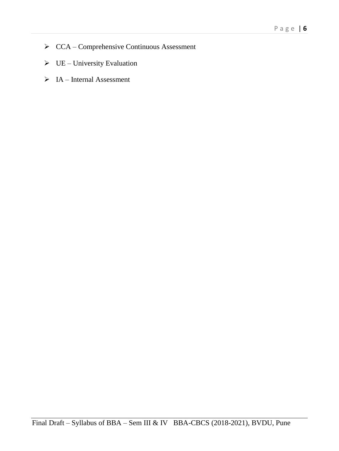- CCA Comprehensive Continuous Assessment
- $\triangleright$  UE University Evaluation
- $\triangleright$  IA Internal Assessment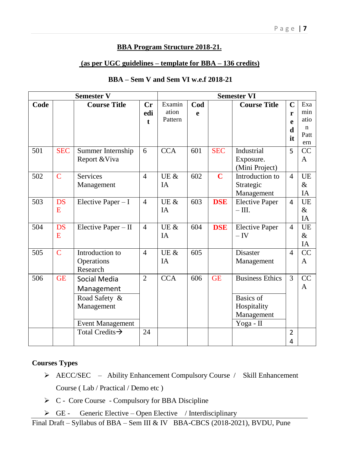#### **BBA Program Structure 2018-21.**

#### **(as per UGC guidelines – template for BBA – 136 credits)**

#### **BBA – Sem V and Sem VI w.e.f 2018-21**

| <b>Semester V</b> |                |                                                                                                                     |                           | <b>Semester VI</b>         |          |                         |                                                                                      |                                     |                                           |
|-------------------|----------------|---------------------------------------------------------------------------------------------------------------------|---------------------------|----------------------------|----------|-------------------------|--------------------------------------------------------------------------------------|-------------------------------------|-------------------------------------------|
| Code              |                | <b>Course Title</b>                                                                                                 | Cr<br>edi<br>$\mathbf{f}$ | Examin<br>ation<br>Pattern | Cod<br>e |                         | <b>Course Title</b>                                                                  | $\overline{C}$<br>r<br>e<br>d<br>it | Exa<br>min<br>atio<br>$\mathbf n$<br>Patt |
| 501               | <b>SEC</b>     | Summer Internship<br>Report & Viva                                                                                  | 6                         | <b>CCA</b>                 | 601      | <b>SEC</b>              | Industrial<br>Exposure.<br>(Mini Project)                                            | 5                                   | ern<br>CC<br>A                            |
| 502               | $\overline{C}$ | <b>Services</b><br>Management                                                                                       | $\overline{4}$            | UE $\&$<br>IA              | 602      | $\overline{\mathbf{C}}$ | Introduction to<br>Strategic<br>Management                                           | $\overline{4}$                      | <b>UE</b><br>$\&$<br>IA                   |
| 503               | <b>DS</b><br>E | Elective Paper $-I$                                                                                                 | $\overline{4}$            | UE &<br><b>IA</b>          | 603      | <b>DSE</b>              | <b>Elective Paper</b><br>$\overline{-III}$ .                                         | $\overline{4}$                      | UE<br>$\&$<br>IA                          |
| 504               | <b>DS</b><br>E | Elective Paper - II                                                                                                 | $\overline{4}$            | UE $\&$<br>IA              | 604      | <b>DSE</b>              | <b>Elective Paper</b><br>$-\mathrm{IV}$                                              | $\overline{4}$                      | <b>UE</b><br>$\&$<br>IA                   |
| 505               | $\mathbf C$    | Introduction to<br>Operations<br>Research                                                                           | $\overline{4}$            | UE &<br>IA                 | 605      |                         | Disaster<br>Management                                                               | $\overline{4}$                      | CC<br>A                                   |
| 506               | <b>GE</b>      | Social Media<br>Management<br>Road Safety &<br>Management<br><b>Event Management</b><br>Total Credits $\rightarrow$ | 2<br>24                   | <b>CCA</b>                 | 606      | <b>GE</b>               | <b>Business Ethics</b><br><b>Basics</b> of<br>Hospitality<br>Management<br>Yoga - II | $\overline{3}$<br>2                 | CC<br>$\mathbf{A}$                        |
|                   |                |                                                                                                                     |                           |                            |          |                         |                                                                                      | 4                                   |                                           |

#### **Courses Types**

- AECC/SEC Ability Enhancement Compulsory Course / Skill Enhancement Course ( Lab / Practical / Demo etc )
- $\triangleright$  C Core Course Compulsory for BBA Discipline
- $\triangleright$  GE Generic Elective Open Elective / Interdisciplinary

Final Draft – Syllabus of BBA – Sem III & IV BBA-CBCS (2018-2021), BVDU, Pune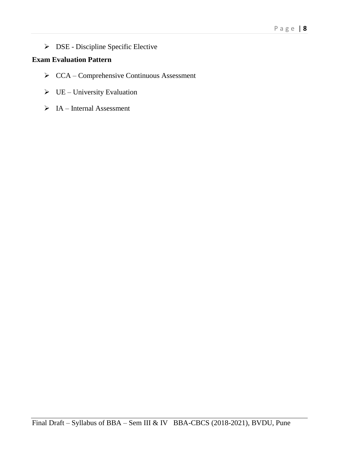DSE - Discipline Specific Elective

### **Exam Evaluation Pattern**

- $\triangleright$  CCA Comprehensive Continuous Assessment
- $\triangleright$  UE University Evaluation
- $\triangleright$  IA Internal Assessment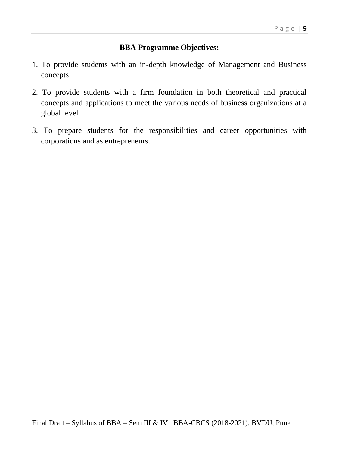#### **BBA Programme Objectives:**

- 1. To provide students with an in-depth knowledge of Management and Business concepts
- 2. To provide students with a firm foundation in both theoretical and practical concepts and applications to meet the various needs of business organizations at a global level
- 3. To prepare students for the responsibilities and career opportunities with corporations and as entrepreneurs.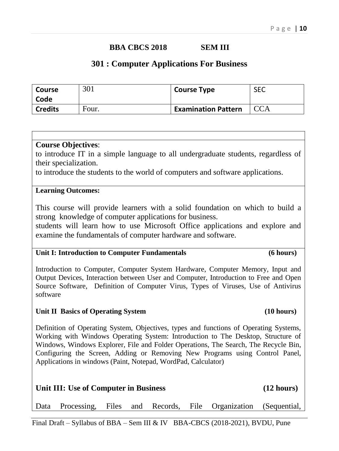### **BBA CBCS 2018 SEM III**

#### **301 : Computer Applications For Business**

| Course         | 301   | <b>Course Type</b>         | <b>SEC</b> |
|----------------|-------|----------------------------|------------|
| Code           |       |                            |            |
| <b>Credits</b> | Four. | <b>Examination Pattern</b> |            |

#### **Course Objectives**:

to introduce IT in a simple language to all undergraduate students, regardless of their specialization.

to introduce the students to the world of computers and software applications.

#### **Learning Outcomes:**

This course will provide learners with a solid foundation on which to build a strong knowledge of computer applications for business.

students will learn how to use Microsoft Office applications and explore and examine the fundamentals of computer hardware and software.

#### **Unit I: Introduction to Computer Fundamentals (6 hours)**

Introduction to Computer, Computer System Hardware, Computer Memory, Input and Output Devices, Interaction between User and Computer, Introduction to Free and Open Source Software, Definition of Computer Virus, Types of Viruses, Use of Antivirus software

#### Unit II Basics of Operating System (10 hours)

Definition of Operating System, Objectives, types and functions of Operating Systems, Working with Windows Operating System: Introduction to The Desktop, Structure of Windows, Windows Explorer, File and Folder Operations, The Search, The Recycle Bin, Configuring the Screen, Adding or Removing New Programs using Control Panel, Applications in windows (Paint, Notepad, WordPad, Calculator)

| Unit III: Use of Computer in Business |  |  |  |  |  |                                                                    | $(12 \text{ hours})$ |
|---------------------------------------|--|--|--|--|--|--------------------------------------------------------------------|----------------------|
|                                       |  |  |  |  |  | Data Processing, Files and Records, File Organization (Sequential, |                      |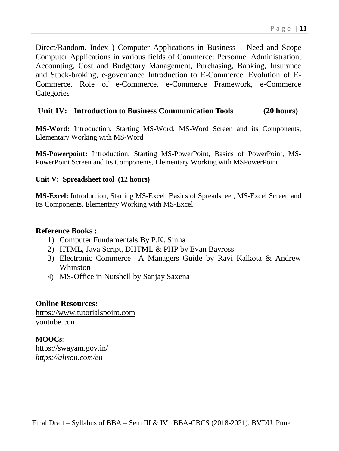Direct/Random, Index ) Computer Applications in Business – Need and Scope Computer Applications in various fields of Commerce: Personnel Administration, Accounting, Cost and Budgetary Management, Purchasing, Banking, Insurance and Stock-broking, e-governance Introduction to E-Commerce, Evolution of E-Commerce, Role of e-Commerce, e-Commerce Framework, e-Commerce **Categories** 

#### **Unit IV: Introduction to Business Communication Tools (20 hours)**

**MS-Word:** Introduction, Starting MS-Word, MS-Word Screen and its Components, Elementary Working with MS-Word

**MS-Powerpoint:** Introduction, Starting MS-PowerPoint, Basics of PowerPoint, MS-PowerPoint Screen and Its Components, Elementary Working with MSPowerPoint

#### **Unit V: Spreadsheet tool (12 hours)**

**MS-Excel:** Introduction, Starting MS-Excel, Basics of Spreadsheet, MS-Excel Screen and Its Components, Elementary Working with MS-Excel.

#### **Reference Books :**

- 1) Computer Fundamentals By P.K. Sinha
- 2) HTML, Java Script, DHTML & PHP by Evan Bayross
- 3) Electronic Commerce A Managers Guide by Ravi Kalkota & Andrew Whinston
- 4) MS-Office in Nutshell by Sanjay Saxena

#### **Online Resources:**

[https://www.tutorialspoint.com](https://www.tutorialspoint.com/) youtube.com

#### **MOOCs**[:](https://swayam.gov.in/)

<https://swayam.gov.in/> *https://alison.com/en*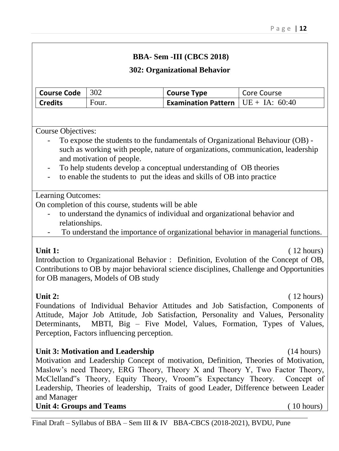### and Manager

#### **Unit 4: Groups and Teams** (10 hours)

Perception, Factors influencing perception.

### **BBA- Sem -III (CBCS 2018)**

### **302: Organizational Behavior**

| <b>Course Code</b> | $\vert$ 302 | <b>Course Type</b>                     | Core Course |
|--------------------|-------------|----------------------------------------|-------------|
| <b>Credits</b>     | Four.       | Examination Pattern $ $ UE + IA: 60:40 |             |

Course Objectives:

- To expose the students to the fundamentals of Organizational Behaviour (OB) such as working with people, nature of organizations, communication, leadership and motivation of people.
- To help students develop a conceptual understanding of OB theories
- to enable the students to put the ideas and skills of OB into practice

### Learning Outcomes:

On completion of this course, students will be able

- to understand the dynamics of individual and organizational behavior and relationships.
- To understand the importance of organizational behavior in managerial functions.

**Unit 1:** (12 hours) Introduction to Organizational Behavior : Definition, Evolution of the Concept of OB, Contributions to OB by major behavioral science disciplines, Challenge and Opportunities for OB managers, Models of OB study

Foundations of Individual Behavior Attitudes and Job Satisfaction, Components of Attitude, Major Job Attitude, Job Satisfaction, Personality and Values, Personality Determinants, MBTI, Big – Five Model, Values, Formation, Types of Values,

Motivation and Leadership Concept of motivation, Definition, Theories of Motivation, Maslow's need Theory, ERG Theory, Theory X and Theory Y, Two Factor Theory,

**Unit 2:** (12 hours)

**Unit 3: Motivation and Leadership** (14 hours)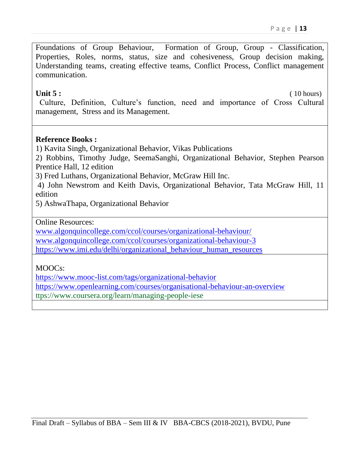Foundations of Group Behaviour, Formation of Group, Group - Classification, Properties, Roles, norms, status, size and cohesiveness, Group decision making, Understanding teams, creating effective teams, Conflict Process, Conflict management communication.

**Unit 5 :** (10 hours)

Culture, Definition, Culture's function, need and importance of Cross Cultural management, Stress and its Management.

#### **Reference Books :**

1) Kavita Singh, Organizational Behavior, Vikas Publications

2) Robbins, Timothy Judge, SeemaSanghi, Organizational Behavior, Stephen Pearson Prentice Hall, 12 edition

3) Fred Luthans, Organizational Behavior, McGraw Hill Inc.

4) John Newstrom and Keith Davis, Organizational Behavior, Tata McGraw Hill, 11 edition

5) AshwaThapa, Organizational Behavior

Online Resources:

[www.algonquincollege.com/ccol/courses/organizational-behaviour/](http://www.algonquincollege.com/ccol/courses/organizational-behaviour/) [www.algonquincollege.com/ccol/courses/organizational-behaviour-3](http://www.algonquincollege.com/ccol/courses/organizational-behaviour-3) [https://www.imi.edu/delhi/organizational\\_behaviour\\_human\\_resources](https://www.imi.edu/delhi/organizational_behaviour_human_resources)

### MOOCs:

<https://www.mooc-list.com/tags/organizational-behavior> <https://www.openlearning.com/courses/organisational-behaviour-an-overview> ttps://www.coursera.org/learn/managing-people-iese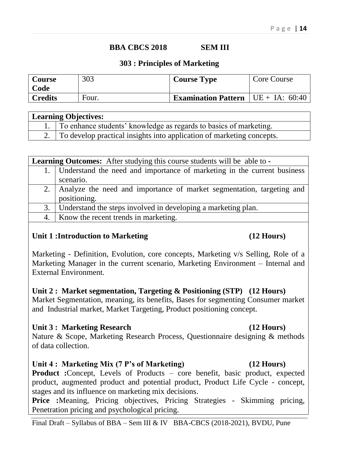### **BBA CBCS 2018 SEM III**

#### **303 : Principles of Marketing**

| Course         | 303   | <b>Course Type</b>                                | Core Course |
|----------------|-------|---------------------------------------------------|-------------|
| Code           |       |                                                   |             |
| <b>Credits</b> | Four. | <b>Examination Pattern</b> $\vert$ UE + IA: 60:40 |             |

| <b>Learning Objectives:</b> |                                                                          |  |  |  |  |  |
|-----------------------------|--------------------------------------------------------------------------|--|--|--|--|--|
|                             | 1. To enhance students' knowledge as regards to basics of marketing.     |  |  |  |  |  |
|                             | 2. To develop practical insights into application of marketing concepts. |  |  |  |  |  |

|  | <b>Learning Outcomes:</b> After studying this course students will be able to - |  |
|--|---------------------------------------------------------------------------------|--|
|  |                                                                                 |  |

| 1. Understand the need and importance of marketing in the current business |
|----------------------------------------------------------------------------|
| scenario.                                                                  |
| 2. Analyze the need and importance of market segmentation, targeting and   |
| positioning.                                                               |

- 3. Understand the steps involved in developing a marketing plan.
- 4. Know the recent trends in marketing.

### **Unit 1 :Introduction to Marketing (12 Hours)**

Marketing - Definition, Evolution, core concepts, Marketing v/s Selling, Role of a Marketing Manager in the current scenario, Marketing Environment – Internal and External Environment.

#### **Unit 2 : Market segmentation, Targeting & Positioning (STP) (12 Hours)**

Market Segmentation, meaning, its benefits, Bases for segmenting Consumer market and Industrial market, Market Targeting, Product positioning concept.

#### **Unit 3 : Marketing Research (12 Hours)**

Nature & Scope, Marketing Research Process, Questionnaire designing & methods of data collection.

### **Unit 4 : Marketing Mix (7 P's of Marketing) (12 Hours)**

**Product :**Concept, Levels of Products – core benefit, basic product, expected product, augmented product and potential product, Product Life Cycle - concept, stages and its influence on marketing mix decisions.

**Price :**Meaning, Pricing objectives, Pricing Strategies - Skimming pricing, Penetration pricing and psychological pricing.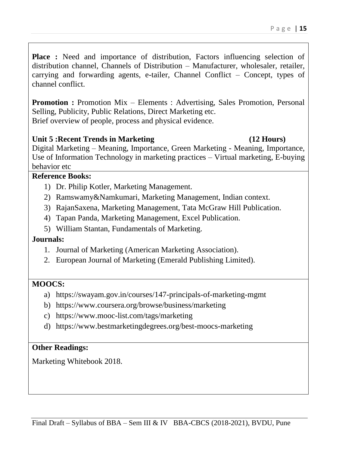**Place :** Need and importance of distribution, Factors influencing selection of distribution channel, Channels of Distribution – Manufacturer, wholesaler, retailer, carrying and forwarding agents, e-tailer, Channel Conflict – Concept, types of channel conflict.

**Promotion :** Promotion Mix – Elements : Advertising, Sales Promotion, Personal Selling, Publicity, Public Relations, Direct Marketing etc. Brief overview of people, process and physical evidence.

#### **Unit 5 :Recent Trends in Marketing (12 Hours)**

Digital Marketing – Meaning, Importance, Green Marketing - Meaning, Importance, Use of Information Technology in marketing practices – Virtual marketing, E-buying behavior etc

#### **Reference Books:**

- 1) Dr. Philip Kotler, Marketing Management.
- 2) Ramswamy&Namkumari, Marketing Management, Indian context.
- 3) RajanSaxena, Marketing Management, Tata McGraw Hill Publication.
- 4) Tapan Panda, Marketing Management, Excel Publication.
- 5) William Stantan, Fundamentals of Marketing.

### **Journals:**

- 1. Journal of Marketing (American Marketing Association).
- 2. European Journal of Marketing (Emerald Publishing Limited).

#### **MOOCS:**

- a) https://swayam.gov.in/courses/147-principals-of-marketing-mgmt
- b) https://www.coursera.org/browse/business/marketing
- c) https://www.mooc-list.com/tags/marketing
- d) https://www.bestmarketingdegrees.org/best-moocs-marketing

#### **Other Readings:**

Marketing Whitebook 2018.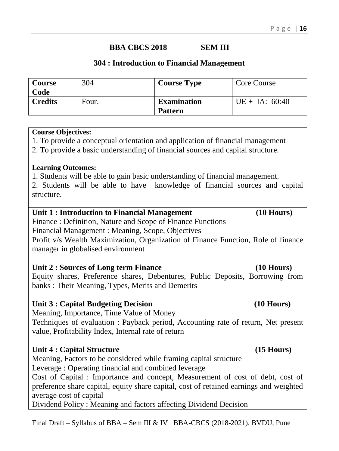### **BBA CBCS 2018 SEM III**

#### **304 : Introduction to Financial Management**

| <b>Course</b><br>Code | 304   | <b>Course Type</b>                   | Core Course      |
|-----------------------|-------|--------------------------------------|------------------|
| <b>Credits</b>        | Four. | <b>Examination</b><br><b>Pattern</b> | $UE + IA: 60:40$ |

#### **Course Objectives:**

1. To provide a conceptual orientation and application of financial management

2. To provide a basic understanding of financial sources and capital structure.

#### **Learning Outcomes:**

1. Students will be able to gain basic understanding of financial management.

2. Students will be able to have knowledge of financial sources and capital structure.

#### Unit 1 : Introduction to Financial Management (10 Hours)

Finance : Definition, Nature and Scope of Finance Functions Financial Management : Meaning, Scope, Objectives Profit v/s Wealth Maximization, Organization of Finance Function, Role of finance manager in globalised environment

#### **Unit 2 : Sources of Long term Finance (10 Hours)**

Equity shares, Preference shares, Debentures, Public Deposits, Borrowing from banks : Their Meaning, Types, Merits and Demerits

#### **Unit 3 : Capital Budgeting Decision (10 Hours)**

Meaning, Importance, Time Value of Money

Techniques of evaluation : Payback period, Accounting rate of return, Net present value, Profitability Index, Internal rate of return

### **Unit 4 : Capital Structure (15 Hours)**

Meaning, Factors to be considered while framing capital structure

Leverage : Operating financial and combined leverage

Cost of Capital : Importance and concept, Measurement of cost of debt, cost of preference share capital, equity share capital, cost of retained earnings and weighted average cost of capital

Dividend Policy : Meaning and factors affecting Dividend Decision

#### Final Draft – Syllabus of BBA – Sem III & IV BBA-CBCS (2018-2021), BVDU, Pune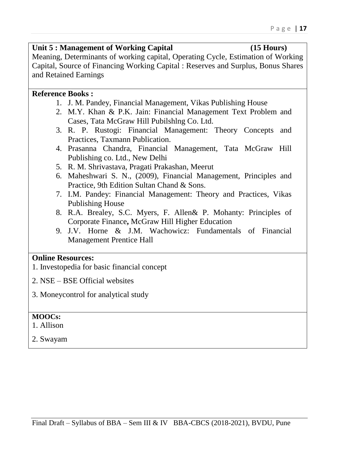#### Unit 5 : Management of Working Capital (15 Hours)

Meaning, Determinants of working capital, Operating Cycle, Estimation of Working Capital, Source of Financing Working Capital : Reserves and Surplus, Bonus Shares and Retained Earnings

#### **Reference Books :**

- 1. J. M. Pandey, Financial Management, Vikas Publishing House
- 2. M.Y. Khan & P.K. Jain: Financial Management Text Problem and Cases, Tata McGraw Hill Pubilshlng Co. Ltd.
- 3. R. P. Rustogi: Financial Management: Theory Concepts and Practices, Taxmann Publication.
- 4. Prasanna Chandra, Financial Management, Tata McGraw Hill Publishing co. Ltd., New Delhi
- 5. R. M. Shrivastava, Pragati Prakashan, Meerut
- 6. Maheshwari S. N., (2009), Financial Management, Principles and Practice, 9th Edition Sultan Chand & Sons.
- 7. I.M. Pandey: Financial Management: Theory and Practices, Vikas Publishing House
- 8. R.A. Brealey, S.C. Myers, F. Allen& P. Mohanty: Principles of Corporate Finance**,** McGraw Hill Higher Education
- 9. J.V. Horne & J.M. Wachowicz: Fundamentals of Financial Management Prentice Hall

#### **Online Resources:**

- 1. Investopedia for basic financial concept
- 2. NSE BSE Official websites
- 3. Moneycontrol for analytical study

#### **MOOCs:**

1. Allison

2. Swayam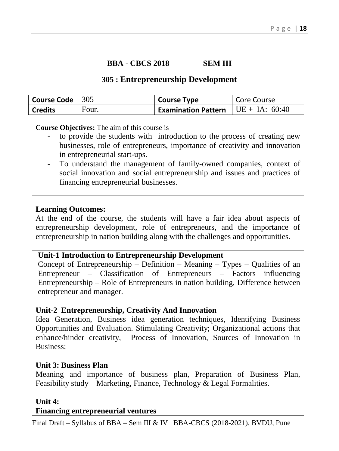#### **BBA - CBCS 2018 SEM III**

#### **305 : Entrepreneurship Development**

| <b>Course Code</b> $ 305 $ |       | <b>Course Type</b>                          | Core Course |
|----------------------------|-------|---------------------------------------------|-------------|
| <b>Credits</b>             | Four. | <b>Examination Pattern</b> $UE + IA: 60:40$ |             |

#### **Course Objectives:** The aim of this course is

- to provide the students with introduction to the process of creating new businesses, role of entrepreneurs, importance of creativity and innovation in entrepreneurial start-ups.
- To understand the management of family-owned companies, context of social innovation and social entrepreneurship and issues and practices of financing entrepreneurial businesses.

#### **Learning Outcomes:**

At the end of the course, the students will have a fair idea about aspects of entrepreneurship development, role of entrepreneurs, and the importance of entrepreneurship in nation building along with the challenges and opportunities.

#### **Unit-1 Introduction to Entrepreneurship Development**

Concept of Entrepreneurship – Definition – Meaning – Types – Qualities of an Entrepreneur – Classification of Entrepreneurs – Factors influencing Entrepreneurship – Role of Entrepreneurs in nation building, Difference between entrepreneur and manager.

#### **Unit-2 Entrepreneurship, Creativity And Innovation**

Idea Generation, Business idea generation techniques, Identifying Business Opportunities and Evaluation. Stimulating Creativity; Organizational actions that enhance/hinder creativity, Process of Innovation, Sources of Innovation in Business;

#### **Unit 3: Business Plan**

Meaning and importance of business plan, Preparation of Business Plan, Feasibility study – Marketing, Finance, Technology & Legal Formalities.

**Unit 4:** 

#### **Financing entrepreneurial ventures**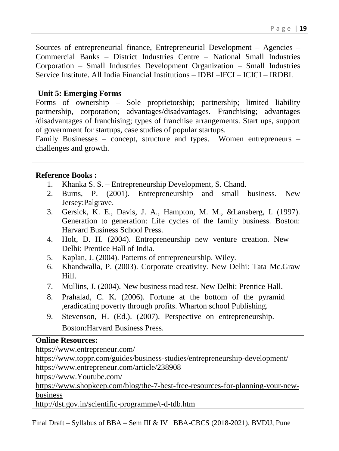Sources of entrepreneurial finance, Entrepreneurial Development – Agencies – Commercial Banks – District Industries Centre – National Small Industries Corporation – Small Industries Development Organization – Small Industries Service Institute. All India Financial Institutions – IDBI –IFCI – ICICI – IRDBI.

#### **Unit 5: Emerging Forms**

Forms of ownership – Sole proprietorship; partnership; limited liability partnership, corporation; advantages/disadvantages. Franchising; advantages /disadvantages of franchising; types of franchise arrangements. Start ups, support of government for startups, case studies of popular startups.

Family Businesses – concept, structure and types. Women entrepreneurs – challenges and growth.

#### **Reference Books :**

- 1. Khanka S. S. Entrepreneurship Development, S. Chand.
- 2. Burns, P. (2001). Entrepreneurship and small business. New Jersey:Palgrave.
- 3. Gersick, K. E., Davis, J. A., Hampton, M. M., &Lansberg, I. (1997). Generation to generation: Life cycles of the family business. Boston: Harvard Business School Press.
- 4. Holt, D. H. (2004). Entrepreneurship new venture creation. New Delhi: Prentice Hall of India.
- 5. Kaplan, J. (2004). Patterns of entrepreneurship. Wiley.
- 6. Khandwalla, P. (2003). Corporate creativity. New Delhi: Tata Mc.Graw Hill.
- 7. Mullins, J. (2004). New business road test. New Delhi: Prentice Hall.
- 8. Prahalad, C. K. (2006). Fortune at the bottom of the pyramid ,eradicating poverty through profits. Wharton school Publishing.
- 9. Stevenson, H. (Ed.). (2007). Perspective on entrepreneurship. Boston:Harvard Business Press.

#### **Online Resources:**

<https://www.entrepreneur.com/>

<https://www.toppr.com/guides/business-studies/entrepreneurship-development/> <https://www.entrepreneur.com/article/238908>

https://www.Youtube.com/

[https://www.shopkeep.com/blog/the-7-best-free-resources-for-planning-your-new](https://www.shopkeep.com/blog/the-7-best-free-resources-for-planning-your-new-business)[business](https://www.shopkeep.com/blog/the-7-best-free-resources-for-planning-your-new-business)

<http://dst.gov.in/scientific-programme/t-d-tdb.htm>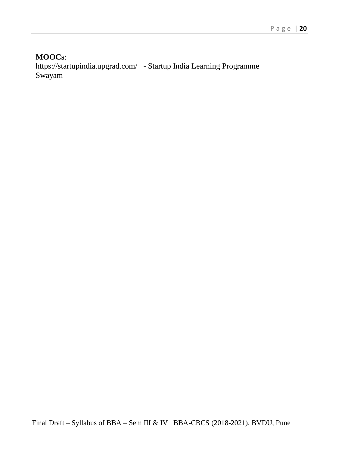**MOOCs**: <https://startupindia.upgrad.com/>- Startup India Learning Programme Swayam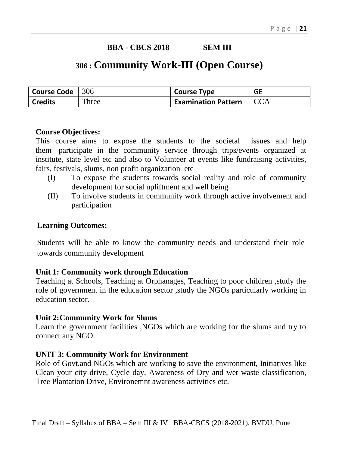### **BBA - CBCS 2018 SEM III**

## **30<sup>6</sup> : Community Work-III (Open Course)**

| Course Code | $\vert$ 306 | <b>Course Type</b>         | <b>GE</b> |
|-------------|-------------|----------------------------|-----------|
| Credits     | Three       | <b>Examination Pattern</b> |           |

#### **Course Objectives:**

This course aims to expose the students to the societal issues and help them participate in the community service through trips/events organized at institute, state level etc and also to Volunteer at events like fundraising activities, fairs, festivals, slums, non profit organization etc

- (I) To expose the students towards social reality and role of community development for social upliftment and well being
- (II) To involve students in community work through active involvement and participation

#### **Learning Outcomes:**

Students will be able to know the community needs and understand their role towards community development

#### **Unit 1: Community work through Education**

Teaching at Schools, Teaching at Orphanages, Teaching to poor children ,study the role of government in the education sector ,study the NGOs particularly working in education sector.

#### **Unit 2:Community Work for Slums**

Learn the government facilities ,NGOs which are working for the slums and try to connect any NGO.

#### **UNIT 3: Community Work for Environment**

Role of Govt.and NGOs which are working to save the environment, Initiatives like Clean your city drive, Cycle day, Awareness of Dry and wet waste classification, Tree Plantation Drive, Environemnt awareness activities etc.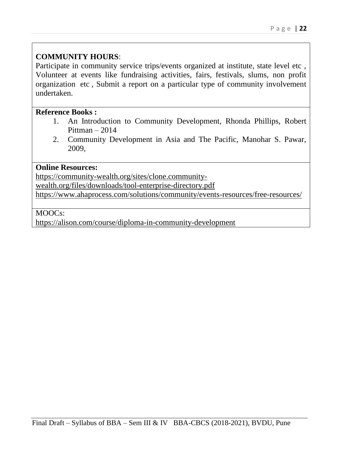### **COMMUNITY HOURS**:

Participate in community service trips/events organized at institute, state level etc , Volunteer at events like fundraising activities, fairs, festivals, slums, non profit organization etc , Submit a report on a particular type of community involvement undertaken.

#### **Reference Books :**

- 1. An Introduction to Community Development, Rhonda Phillips, Robert Pittman – 2014
- 2. Community Development in Asia and The Pacific, Manohar S. Pawar, 2009,

#### **Online Resources:**

[https://community-wealth.org/sites/clone.community-](https://community-wealth.org/sites/clone.community-wealth.org/files/downloads/tool-enterprise-directory.pdf)

[wealth.org/files/downloads/tool-enterprise-directory.pdf](https://community-wealth.org/sites/clone.community-wealth.org/files/downloads/tool-enterprise-directory.pdf)

<https://www.ahaprocess.com/solutions/community/events-resources/free-resources/>

#### MOOCs:

<https://alison.com/course/diploma-in-community-development>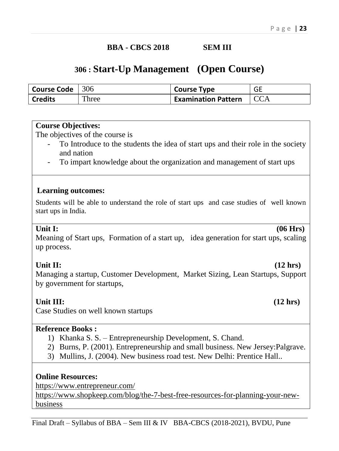#### **BBA - CBCS 2018 SEM III**

## **306 : Start-Up Management (Open Course)**

| <b>Course Code</b> $ 306$ |       | <b>Course Type</b>         | GE |
|---------------------------|-------|----------------------------|----|
| <b>Credits</b>            | Three | <b>Examination Pattern</b> |    |

#### **Course Objectives:**

The objectives of the course is

- To Introduce to the students the idea of start ups and their role in the society and nation
- To impart knowledge about the organization and management of start ups

#### **Learning outcomes:**

Students will be able to understand the role of start ups and case studies of well known start ups in India.

#### **Unit I: (06 Hrs)**

Meaning of Start ups, Formation of a start up, idea generation for start ups, scaling up process.

Unit II: (12 hrs)

Managing a startup, Customer Development, Market Sizing, Lean Startups, Support by government for startups,

#### **Unit III: (12 hrs)**

Case Studies on well known startups

#### **Reference Books :**

- 1) Khanka S. S. Entrepreneurship Development, S. Chand.
- 2) Burns, P. (2001). Entrepreneurship and small business. New Jersey:Palgrave.
- 3) Mullins, J. (2004). New business road test. New Delhi: Prentice Hall..

#### **Online Resources:**

<https://www.entrepreneur.com/>

[https://www.shopkeep.com/blog/the-7-best-free-resources-for-planning-your-new](https://www.shopkeep.com/blog/the-7-best-free-resources-for-planning-your-new-business)[business](https://www.shopkeep.com/blog/the-7-best-free-resources-for-planning-your-new-business)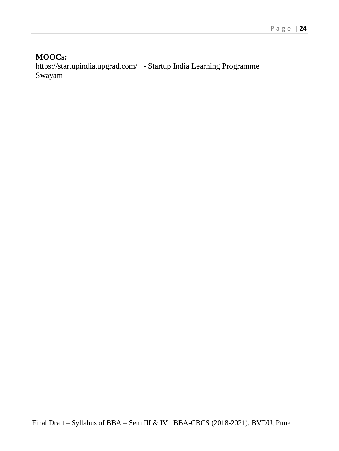**MOOCs:** <https://startupindia.upgrad.com/>- Startup India Learning Programme Swayam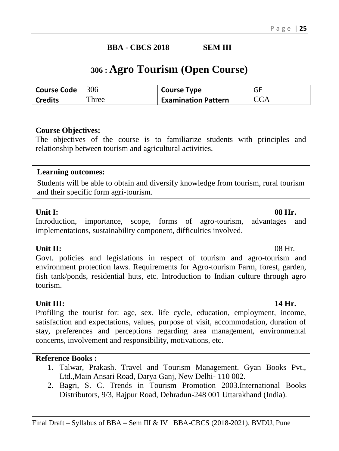#### **BBA - CBCS 2018 SEM III**

## **306 : Agro Tourism (Open Course)**

| Course Code $ 306 $ |       | Course Type                | GE         |
|---------------------|-------|----------------------------|------------|
| <b>Credits</b>      | Three | <b>Examination Pattern</b> | <b>CCA</b> |

#### **Course Objectives:**

The objectives of the course is to familiarize students with principles and relationship between tourism and agricultural activities.

#### **Learning outcomes:**

Students will be able to obtain and diversify knowledge from tourism, rural tourism and their specific form agri-tourism.

#### Unit I: 08 Hr.

Introduction, importance, scope, forms of agro-tourism, advantages and implementations, sustainability component, difficulties involved.

**Unit II:** 08 Hr. Govt. policies and legislations in respect of tourism and agro-tourism and environment protection laws. Requirements for Agro-tourism Farm, forest, garden, fish tank/ponds, residential huts, etc. Introduction to Indian culture through agro tourism.

#### **Unit III: 14 Hr.**

Profiling the tourist for: age, sex, life cycle, education, employment, income, satisfaction and expectations, values, purpose of visit, accommodation, duration of stay, preferences and perceptions regarding area management, environmental concerns, involvement and responsibility, motivations, etc.

#### **Reference Books :**

- 1. Talwar, Prakash. Travel and Tourism Management. Gyan Books Pvt., Ltd.,Main Ansari Road, Darya Ganj, New Delhi- 110 002.
- 2. Bagri, S. C. Trends in Tourism Promotion 2003.International Books Distributors, 9/3, Rajpur Road, Dehradun-248 001 Uttarakhand (India).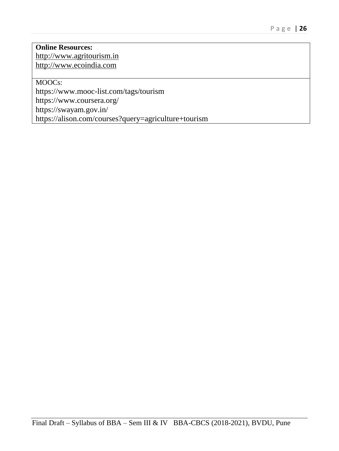#### **Online Resources:** [http://www.agritourism.in](http://www.agritourism.in/) [http://www.ecoindia.com](http://www.ecoindia.com/)

MOOCs:

https://www.mooc-list.com/tags/tourism

https://www.coursera.org/

https://swayam.gov.in/

https://alison.com/courses?query=agriculture+tourism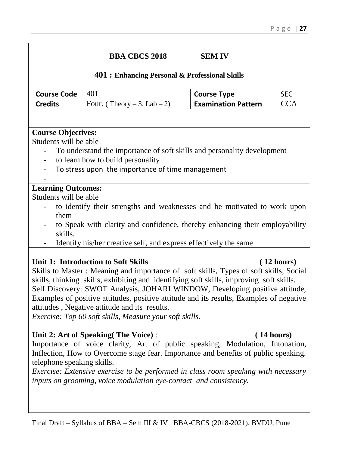#### **BBA CBCS 2018 SEM IV**

#### **401 : Enhancing Personal & Professional Skills**

| $\vert$ Course Code $\vert$ 401 |                                            | <b>Course Type</b>         | <b>SEC</b> |
|---------------------------------|--------------------------------------------|----------------------------|------------|
| <b>Credits</b>                  | $\sqrt{1 + 1}$ Four. (Theory – 3, Lab – 2) | <b>Examination Pattern</b> | <b>CCA</b> |

#### **Course Objectives:**

Students will be able

- To understand the importance of soft skills and personality development
- to learn how to build personality
- To stress upon the importance of time management
- -

### **Learning Outcomes:**

Students will be able

- to identify their strengths and weaknesses and be motivated to work upon them
- to Speak with clarity and confidence, thereby enhancing their employability skills.
- Identify his/her creative self, and express effectively the same

### **Unit 1: Introduction to Soft Skills ( 12 hours)**

Skills to Master : Meaning and importance of soft skills, Types of soft skills, Social skills, thinking skills, exhibiting and identifying soft skills, improving soft skills. Self Discovery: SWOT Analysis, JOHARI WINDOW, Developing positive attitude, Examples of positive attitudes, positive attitude and its results, Examples of negative attitudes , Negative attitude and its results.

*Exercise: Top 60 soft skills, Measure your soft skills.*

### **Unit 2: Art of Speaking( The Voice)** : **( 14 hours)**

Importance of voice clarity, Art of public speaking, Modulation, Intonation, Inflection, How to Overcome stage fear. Importance and benefits of public speaking. telephone speaking skills.

*Exercise: Extensive exercise to be performed in class room speaking with necessary inputs on grooming, voice modulation eye-contact and consistency.*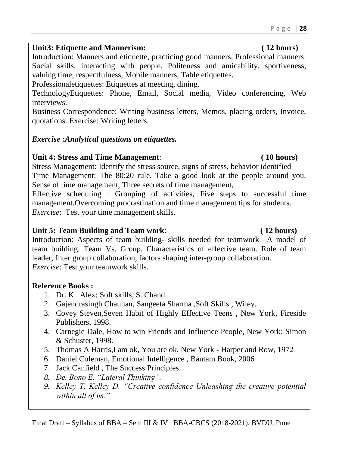## Unit3: Etiquette and Mannerism: **(12 hours)**

Introduction: Manners and etiquette, practicing good manners, Professional manners: Social skills, interacting with people. Politeness and amicability, sportiveness, valuing time, respectfulness, Mobile manners, Table etiquettes.

Professionaletiquettes: Etiquettes at meeting, dining.

TechnologyEtiquettes: Phone, Email, Social media, Video conferencing, Web interviews.

Business Correspondence: Writing business letters, Memos, placing orders, Invoice, quotations. Exercise: Writing letters.

## *Exercise :Analytical questions on etiquettes.*

## **Unit 4: Stress and Time Management**: **( 10 hours)**

Stress Management: Identify the stress source, signs of stress, behavior identified Time Management: The 80:20 rule. Take a good look at the people around you. Sense of time management, Three secrets of time management,

Effective scheduling : Grouping of activities, Five steps to successful time management.Overcoming procrastination and time management tips for students. *Exercise*: Test your time management skills.

## **Unit 5: Team Building and Team work**: **( 12 hours)**

Introduction: Aspects of team building- skills needed for teamwork –A model of team building. Team Vs. Group. Characteristics of effective team. Role of team leader, Inter group collaboration, factors shaping inter-group collaboration. *Exercise*: Test your teamwork skills.

## **Reference Books :**

- 1. Dr. K . Alex: Soft skills, S. Chand
- 2. Gajendrasingh Chauhan, Sangeeta Sharma ,Soft Skills , Wiley.
- 3. Covey Steven,Seven Habit of Highly Effective Teens , New York, Fireside Publishers, 1998.
- 4. Carnegie Dale, How to win Friends and Influence People, New York: Simon & Schuster, 1998.
- 5. Thomas A Harris,I am ok, You are ok, New York Harper and Row, 1972
- 6. Daniel Coleman, Emotional Intelligence , Bantam Book, 2006
- 7. Jack Canfield , The Success Principles.
- *8. De. Bono E. "Lateral Thinking".*
- *9. Kelley T, Kelley D. "Creative confidence Unleashing the creative potential within all of us."*

P a g e | **28**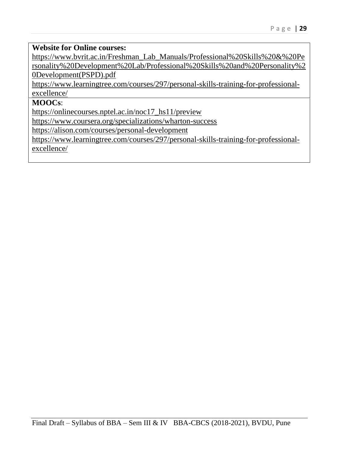#### **Website for Online courses:**

[https://www.bvrit.ac.in/Freshman\\_Lab\\_Manuals/Professional%20Skills%20&%20Pe](https://www.bvrit.ac.in/Freshman_Lab_Manuals/Professional%20Skills%20&%20Personality%20Development%20Lab/Professional%20Skills%20and%20Personality%20Development(PSPD).pdf) [rsonality%20Development%20Lab/Professional%20Skills%20and%20Personality%2](https://www.bvrit.ac.in/Freshman_Lab_Manuals/Professional%20Skills%20&%20Personality%20Development%20Lab/Professional%20Skills%20and%20Personality%20Development(PSPD).pdf) [0Development\(PSPD\).pdf](https://www.bvrit.ac.in/Freshman_Lab_Manuals/Professional%20Skills%20&%20Personality%20Development%20Lab/Professional%20Skills%20and%20Personality%20Development(PSPD).pdf)

[https://www.learningtree.com/courses/297/personal-skills-training-for-professional](https://www.learningtree.com/courses/297/personal-skills-training-for-professional-excellence/)[excellence/](https://www.learningtree.com/courses/297/personal-skills-training-for-professional-excellence/)

### **MOOCs**:

[https://onlinecourses.nptel.ac.in/noc17\\_hs11/preview](https://onlinecourses.nptel.ac.in/noc17_hs11/preview)

<https://www.coursera.org/specializations/wharton-success>

<https://alison.com/courses/personal-development>

[https://www.learningtree.com/courses/297/personal-skills-training-for-professional](https://www.learningtree.com/courses/297/personal-skills-training-for-professional-excellence/)[excellence/](https://www.learningtree.com/courses/297/personal-skills-training-for-professional-excellence/)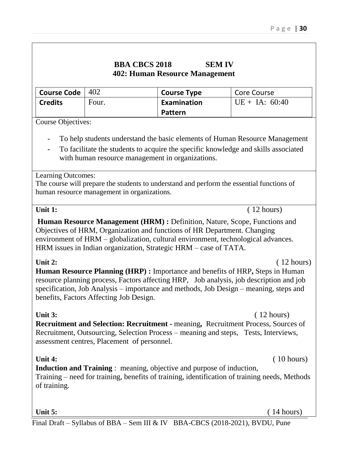### **BBA CBCS 2018 SEM IV 402: Human Resource Management**

| Course Code $ 402 $ |       | <b>Course Type</b> | Core Course      |
|---------------------|-------|--------------------|------------------|
| <b>Credits</b>      | Four. | Examination        | $UE + IA: 60:40$ |
|                     |       | Pattern            |                  |

Course Objectives:

- To help students understand the basic elements of Human Resource Management
- To facilitate the students to acquire the specific knowledge and skills associated with human resource management in organizations.

Learning Outcomes:

The course will prepare the students to understand and perform the essential functions of human resource management in organizations.

Unit 1:  $(12 \text{ hours})$ 

**Human Resource Management (HRM) :** Definition, Nature, Scope, Functions and Objectives of HRM, Organization and functions of HR Department. Changing environment of HRM – globalization, cultural environment, technological advances. HRM issues in Indian organization, Strategic HRM – case of TATA.

Unit 2: **Contract 2: Contract 2: Contract 2: Contract 2: Contract 2: Contract 2: Contract 2: Contract 2: Contract 2: Contract 2: Contract 2: Contract 2: Contract 2: Contract 2: Contract 2: Con Human Resource Planning (HRP) :** Importance and benefits of HRP**,** Steps in Human resource planning process, Factors affecting HRP, Job analysis, job description and job specification, Job Analysis – importance and methods, Job Design – meaning, steps and benefits, Factors Affecting Job Design.

Unit 3: **12 hours** (12 hours) **Recruitment and Selection: Recruitment -** meaning**,** Recruitment Process, Sources of Recruitment, Outsourcing, Selection Process – meaning and steps, Tests, Interviews, assessment centres, Placement of personnel.

**Unit 4:** (10 hours)

**Induction and Training** : meaning, objective and purpose of induction, Training – need for training, benefits of training, identification of training needs, Methods of training.

**Unit 5:** ( 14 hours)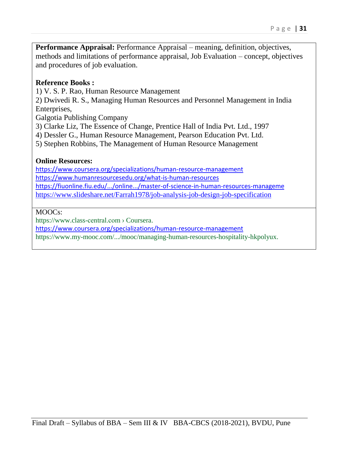**Performance Appraisal:** Performance Appraisal – meaning, definition, objectives, methods and limitations of performance appraisal, Job Evaluation – concept, objectives and procedures of job evaluation.

#### **Reference Books :**

1) V. S. P. Rao, Human Resource Management

2) Dwivedi R. S., Managing Human Resources and Personnel Management in India Enterprises,

Galgotia Publishing Company

- 3) Clarke Liz, The Essence of Change, Prentice Hall of India Pvt. Ltd., 1997
- 4) Dessler G., Human Resource Management, Pearson Education Pvt. Ltd.
- 5) Stephen Robbins, The Management of Human Resource Management

#### **Online Resources:**

<https://www.coursera.org/specializations/human-resource-management> <https://www.humanresourcesedu.org/what-is-human-resources> <https://fiuonline.fiu.edu/.../online.../master-of-science-in-human-resources-manageme> <https://www.slideshare.net/Farrah1978/job-analysis-job-design-job-specification>

#### MOOC<sub>S</sub>:

https://www.class-central.com › Coursera.

<https://www.coursera.org/specializations/human-resource-management>

https://www.my-mooc.com/.../mooc/managing-human-resources-hospitality-hkpolyux.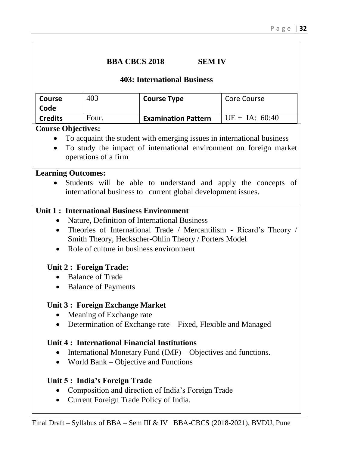| <b>BBA CBCS 2018</b> | <b>SEM IV</b> |
|----------------------|---------------|
|----------------------|---------------|

#### **403: International Business**

| <b>Course</b><br>Code | 403   | <b>Course Type</b>         | Core Course      |
|-----------------------|-------|----------------------------|------------------|
| <b>Credits</b>        | Four. | <b>Examination Pattern</b> | $UE + IA: 60:40$ |

#### **Course Objectives:**

- To acquaint the student with emerging issues in international business
- To study the impact of international environment on foreign market operations of a firm

#### **Learning Outcomes:**

 Students will be able to understand and apply the concepts of international business to current global development issues.

#### **Unit 1 : International Business Environment**

- Nature, Definition of International Business
- Theories of International Trade / Mercantilism Ricard's Theory / Smith Theory, Heckscher-Ohlin Theory / Porters Model
- Role of culture in business environment

#### **Unit 2 : Foreign Trade:**

- Balance of Trade
- Balance of Payments

#### **Unit 3 : Foreign Exchange Market**

- Meaning of Exchange rate
- Determination of Exchange rate Fixed, Flexible and Managed

#### **Unit 4 : International Financial Institutions**

- International Monetary Fund  $(IMF)$  Objectives and functions.
- World Bank Objective and Functions

#### **Unit 5 : India's Foreign Trade**

- Composition and direction of India's Foreign Trade
- Current Foreign Trade Policy of India.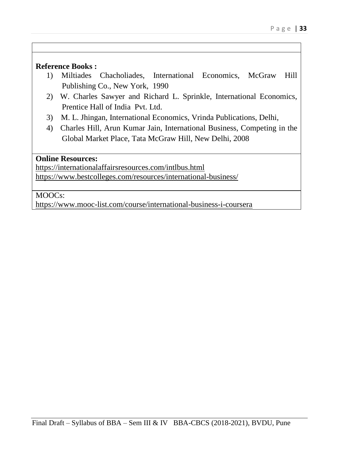#### **Reference Books :**

- 1) Miltiades Chacholiades, International Economics, McGraw Hill Publishing Co., New York, 1990
- 2) W. Charles Sawyer and Richard L. Sprinkle, International Economics, Prentice Hall of India Pvt. Ltd.
- 3) M. L. Jhingan, International Economics, Vrinda Publications, Delhi,
- 4) Charles Hill, Arun Kumar Jain, International Business, Competing in the Global Market Place, Tata McGraw Hill, New Delhi, 2008

#### **Online Resources:**

<https://internationalaffairsresources.com/intlbus.html> <https://www.bestcolleges.com/resources/international-business/>

#### MOOCs:

<https://www.mooc-list.com/course/international-business-i-coursera>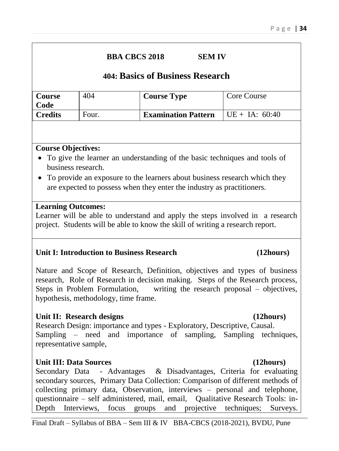**BBA CBCS 2018 SEM IV**

| <b>Course</b><br>Code | 404   | <b>Course Type</b>         | Core Course       |
|-----------------------|-------|----------------------------|-------------------|
| <b>Credits</b>        | Four. | <b>Examination Pattern</b> | $ UE + IA: 60:40$ |

#### **Course Objectives:**

- To give the learner an understanding of the basic techniques and tools of business research.
- To provide an exposure to the learners about business research which they are expected to possess when they enter the industry as practitioners.

#### **Learning Outcomes:**

Learner will be able to understand and apply the steps involved in a research project. Students will be able to know the skill of writing a research report.

#### **Unit I: Introduction to Business Research (12hours)**

Nature and Scope of Research, Definition, objectives and types of business research, Role of Research in decision making. Steps of the Research process, Steps in Problem Formulation, writing the research proposal – objectives, hypothesis, methodology, time frame.

#### Unit II: Research designs (12hours)

Research Design: importance and types - Exploratory, Descriptive, Causal. Sampling – need and importance of sampling, Sampling techniques, representative sample,

#### **Unit III: Data Sources (12hours)**

Secondary Data - Advantages & Disadvantages, Criteria for evaluating secondary sources, Primary Data Collection: Comparison of different methods of collecting primary data, Observation, interviews – personal and telephone, questionnaire – self administered, mail, email, Qualitative Research Tools: in-Depth Interviews, focus groups and projective techniques; Surveys.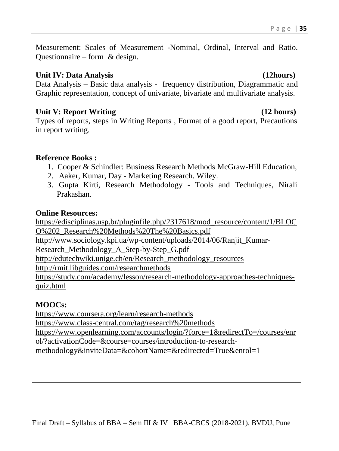Measurement: Scales of Measurement -Nominal, Ordinal, Interval and Ratio. Questionnaire – form & design.

### **Unit IV: Data Analysis (12hours)**

Data Analysis – Basic data analysis - frequency distribution, Diagrammatic and Graphic representation, concept of univariate, bivariate and multivariate analysis.

#### Unit V: Report Writing (12 hours)

Types of reports, steps in Writing Reports , Format of a good report, Precautions in report writing.

### **Reference Books :**

- 1. Cooper & Schindler: Business Research Methods McGraw-Hill Education,
- 2. Aaker, Kumar, Day Marketing Research. Wiley.
- 3. Gupta Kirti, Research Methodology Tools and Techniques, Nirali Prakashan.

### **Online Resources:**

[https://edisciplinas.usp.br/pluginfile.php/2317618/mod\\_resource/content/1/BLOC](https://edisciplinas.usp.br/pluginfile.php/2317618/mod_resource/content/1/BLOCO%202_Research%20Methods%20The%20Basics.pdf) [O%202\\_Research%20Methods%20The%20Basics.pdf](https://edisciplinas.usp.br/pluginfile.php/2317618/mod_resource/content/1/BLOCO%202_Research%20Methods%20The%20Basics.pdf)

[http://www.sociology.kpi.ua/wp-content/uploads/2014/06/Ranjit\\_Kumar-](http://www.sociology.kpi.ua/wp-content/uploads/2014/06/Ranjit_Kumar-Research_Methodology_A_Step-by-Step_G.pdf)

[Research\\_Methodology\\_A\\_Step-by-Step\\_G.pdf](http://www.sociology.kpi.ua/wp-content/uploads/2014/06/Ranjit_Kumar-Research_Methodology_A_Step-by-Step_G.pdf)

[http://edutechwiki.unige.ch/en/Research\\_methodology\\_resources](http://edutechwiki.unige.ch/en/Research_methodology_resources)

<http://rmit.libguides.com/researchmethods>

[https://study.com/academy/lesson/research-methodology-approaches-techniques](https://study.com/academy/lesson/research-methodology-approaches-techniques-quiz.html)[quiz.html](https://study.com/academy/lesson/research-methodology-approaches-techniques-quiz.html)

### **MOOCs:**

<https://www.coursera.org/learn/research-methods>

<https://www.class-central.com/tag/research%20methods>

[https://www.openlearning.com/accounts/login/?force=1&redirectTo=/courses/enr](https://www.openlearning.com/accounts/login/?force=1&redirectTo=/courses/enrol/?activationCode=&course=courses/introduction-to-research-methodology&inviteData=&cohortName=&redirected=True&enrol=1) [ol/?activationCode=&course=courses/introduction-to-research-](https://www.openlearning.com/accounts/login/?force=1&redirectTo=/courses/enrol/?activationCode=&course=courses/introduction-to-research-methodology&inviteData=&cohortName=&redirected=True&enrol=1)

[methodology&inviteData=&cohortName=&redirected=True&enrol=1](https://www.openlearning.com/accounts/login/?force=1&redirectTo=/courses/enrol/?activationCode=&course=courses/introduction-to-research-methodology&inviteData=&cohortName=&redirected=True&enrol=1)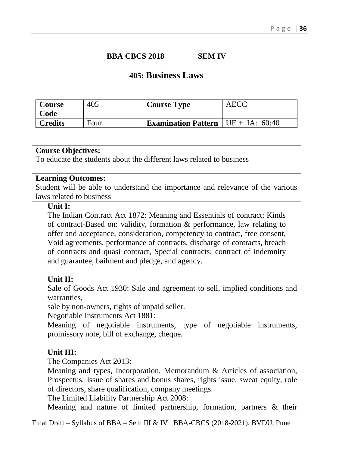#### **BBA CBCS 2018 SEM IV**

### **405: Business Laws**

| <b>Course</b><br>Code | 405   | <b>Course Type</b>                                             | <b>AECC</b> |
|-----------------------|-------|----------------------------------------------------------------|-------------|
| Credits               | Four. | <b>Examination Pattern</b> $  \text{ UE } + \text{ IA}: 60:40$ |             |

#### **Course Objectives:**

To educate the students about the different laws related to business

#### **Learning Outcomes:**

Student will be able to understand the importance and relevance of the various laws related to business

#### **Unit I:**

The Indian Contract Act 1872: Meaning and Essentials of contract; Kinds of contract-Based on: validity, formation & performance, law relating to offer and acceptance, consideration, competency to contract, free consent, Void agreements, performance of contracts, discharge of contracts, breach of contracts and quasi contract, Special contracts: contract of indemnity and guarantee, bailment and pledge, and agency.

#### **Unit II:**

Sale of Goods Act 1930: Sale and agreement to sell, implied conditions and warranties,

sale by non-owners, rights of unpaid seller.

Negotiable Instruments Act 1881:

Meaning of negotiable instruments, type of negotiable instruments, promissory note, bill of exchange, cheque.

#### **Unit III:**

The Companies Act 2013:

Meaning and types, Incorporation, Memorandum & Articles of association, Prospectus, Issue of shares and bonus shares, rights issue, sweat equity, role of directors, share qualification, company meetings.

The Limited Liability Partnership Act 2008:

Meaning and nature of limited partnership, formation, partners & their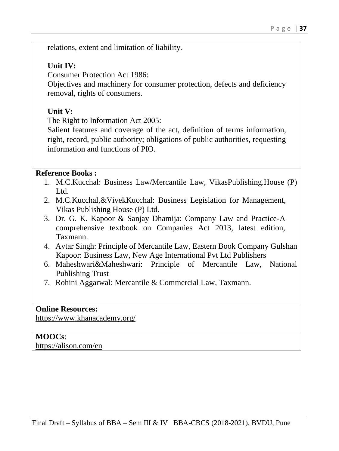relations, extent and limitation of liability.

#### **Unit IV:**

Consumer Protection Act 1986:

Objectives and machinery for consumer protection, defects and deficiency removal, rights of consumers.

### **Unit V:**

The Right to Information Act 2005:

Salient features and coverage of the act, definition of terms information, right, record, public authority; obligations of public authorities, requesting information and functions of PIO.

#### **Reference Books :**

- 1. M.C.Kucchal: Business Law/Mercantile Law, VikasPublishing.House (P) Ltd.
- 2. M.C.Kucchal,&VivekKucchal: Business Legislation for Management, Vikas Publishing House (P) Ltd.
- 3. Dr. G. K. Kapoor & Sanjay Dhamija: Company Law and Practice-A comprehensive textbook on Companies Act 2013, latest edition, Taxmann.
- 4. Avtar Singh: Principle of Mercantile Law, Eastern Book Company Gulshan Kapoor: Business Law, New Age International Pvt Ltd Publishers
- 6. Maheshwari&Maheshwari: Principle of Mercantile Law, National Publishing Trust
- 7. Rohini Aggarwal: Mercantile & Commercial Law, Taxmann.

### **Online Resources:**

<https://www.khanacademy.org/>

### **MOOCs**:

<https://alison.com/en>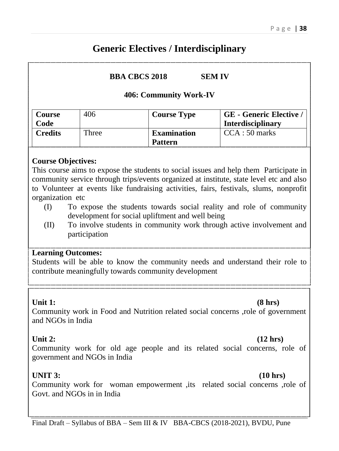## **Generic Electives / Interdisciplinary**

**BBA CBCS 2018 SEM IV**

#### **406: Community Work-IV**

| <b>Course</b>  | 406   | <b>Course Type</b> | <b>GE</b> - Generic Elective / |
|----------------|-------|--------------------|--------------------------------|
| Code           |       |                    | <b>Interdisciplinary</b>       |
| <b>Credits</b> | Three | <b>Examination</b> | $CCA:50$ marks                 |
|                |       | <b>Pattern</b>     |                                |

#### **Course Objectives:**

This course aims to expose the students to social issues and help them Participate in community service through trips/events organized at institute, state level etc and also to Volunteer at events like fundraising activities, fairs, festivals, slums, nonprofit organization etc

- (I) To expose the students towards social reality and role of community development for social upliftment and well being
- (II) To involve students in community work through active involvement and participation

#### **Learning Outcomes:**

Students will be able to know the community needs and understand their role to contribute meaningfully towards community development

#### Unit 1: (8 hrs)

Community work in Food and Nutrition related social concerns ,role of government and NGOs in India

#### Unit 2: (12 hrs)

Community work for old age people and its related social concerns, role of government and NGOs in India

### **UNIT 3: (10 hrs)**

Community work for woman empowerment ,its related social concerns ,role of Govt. and NGOs in in India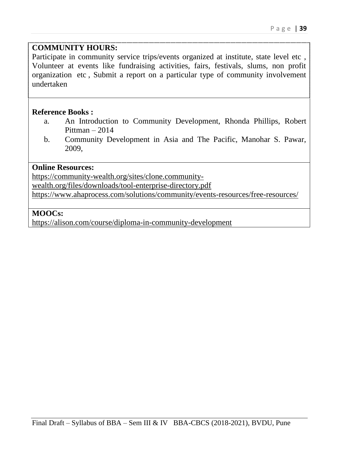#### **COMMUNITY HOURS:**

Participate in community service trips/events organized at institute, state level etc , Volunteer at events like fundraising activities, fairs, festivals, slums, non profit organization etc , Submit a report on a particular type of community involvement undertaken

#### **Reference Books :**

- a. An Introduction to Community Development, Rhonda Phillips, Robert Pittman – 2014
- b. Community Development in Asia and The Pacific, Manohar S. Pawar, 2009,

#### **Online Resources:**

[https://community-wealth.org/sites/clone.community-](https://community-wealth.org/sites/clone.community-wealth.org/files/downloads/tool-enterprise-directory.pdf)

[wealth.org/files/downloads/tool-enterprise-directory.pdf](https://community-wealth.org/sites/clone.community-wealth.org/files/downloads/tool-enterprise-directory.pdf)

<https://www.ahaprocess.com/solutions/community/events-resources/free-resources/>

#### **MOOCs:**

<https://alison.com/course/diploma-in-community-development>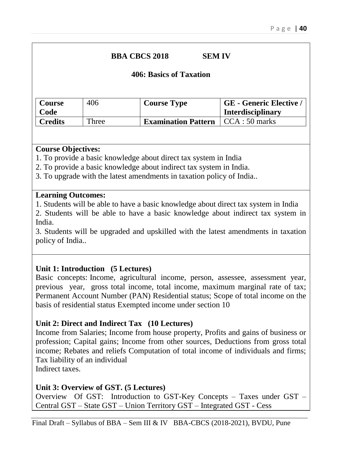### **BBA CBCS 2018 SEM IV**

#### **406: Basics of Taxation**

| Course         | 406   | <b>Course Type</b>                          | <b>GE</b> - Generic Elective / |
|----------------|-------|---------------------------------------------|--------------------------------|
| Code           |       |                                             | <b>Interdisciplinary</b>       |
| <b>Credits</b> | Three | <b>Examination Pattern</b>   CCA : 50 marks |                                |

#### **Course Objectives:**

- 1. To provide a basic knowledge about direct tax system in India
- 2. To provide a basic knowledge about indirect tax system in India.
- 3. To upgrade with the latest amendments in taxation policy of India..

#### **Learning Outcomes:**

- 1. Students will be able to have a basic knowledge about direct tax system in India
- 2. Students will be able to have a basic knowledge about indirect tax system in India.

3. Students will be upgraded and upskilled with the latest amendments in taxation policy of India..

#### **Unit 1: Introduction (5 Lectures)**

Basic concepts: Income, agricultural income, person, assessee, assessment year, previous year, gross total income, total income, maximum marginal rate of tax; Permanent Account Number (PAN) Residential status; Scope of total income on the basis of residential status Exempted income under section 10

### **Unit 2: Direct and Indirect Tax (10 Lectures)**

Income from Salaries; Income from house property, Profits and gains of business or profession; Capital gains; Income from other sources, Deductions from gross total income; Rebates and reliefs Computation of total income of individuals and firms; Tax liability of an individual

Indirect taxes.

#### **Unit 3: Overview of GST. (5 Lectures)**

Overview Of GST: Introduction to GST-Key Concepts – Taxes under GST – Central GST – State GST – Union Territory GST – Integrated GST - Cess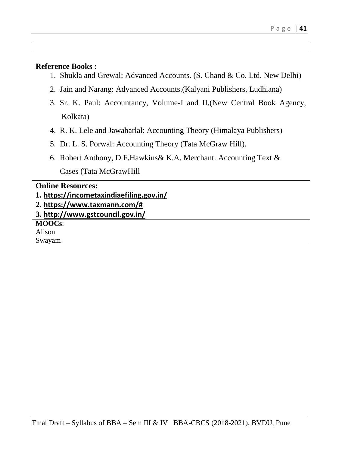#### **Reference Books :**

- 1. Shukla and Grewal: Advanced Accounts. (S. Chand & Co. Ltd. New Delhi)
- 2. Jain and Narang: Advanced Accounts.(Kalyani Publishers, Ludhiana)
- 3. Sr. K. Paul: Accountancy, Volume-I and II.(New Central Book Agency, Kolkata)
- 4. R. K. Lele and Jawaharlal: Accounting Theory (Himalaya Publishers)
- 5. Dr. L. S. Porwal: Accounting Theory (Tata McGraw Hill).
- 6. Robert Anthony, D.F.Hawkins& K.A. Merchant: Accounting Text & Cases (Tata McGrawHill

| <b>Online Resources:</b>                 |
|------------------------------------------|
| 1. https://incometaxindiaefiling.gov.in/ |
| $\vert$ 2. https://www.taxmann.com/#     |
| $\vert$ 3. http://www.gstcouncil.gov.in/ |
| <b>MOOCs:</b>                            |
| Alison                                   |
| Swayam                                   |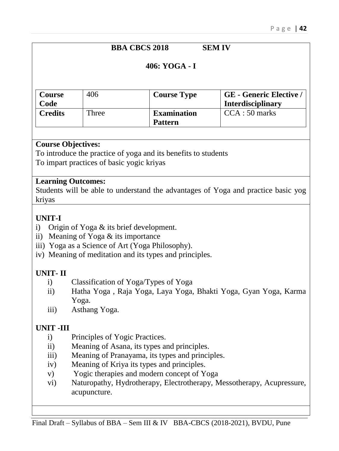## **BBA CBCS 2018 SEM IV**

#### **406: YOGA - I**

| <b>Course</b>  | 406   | <b>Course Type</b> | <b>GE</b> - Generic Elective / |
|----------------|-------|--------------------|--------------------------------|
| Code           |       |                    | <b>Interdisciplinary</b>       |
| <b>Credits</b> | Three | <b>Examination</b> | $CCA:50$ marks                 |
|                |       | <b>Pattern</b>     |                                |

#### **Course Objectives:**

To introduce the practice of yoga and its benefits to students

To impart practices of basic yogic kriyas

#### **Learning Outcomes:**

Students will be able to understand the advantages of Yoga and practice basic yog kriyas

### **UNIT-I**

- i) Origin of Yoga & its brief development.
- ii) Meaning of Yoga & its importance
- iii) Yoga as a Science of Art (Yoga Philosophy).
- iv) Meaning of meditation and its types and principles.

### **UNIT- II**

- i) Classification of Yoga/Types of Yoga
- ii) Hatha Yoga , Raja Yoga, Laya Yoga, Bhakti Yoga, Gyan Yoga, Karma Yoga.
- iii) Asthang Yoga.

### **UNIT -III**

- i) Principles of Yogic Practices.
- ii) Meaning of Asana, its types and principles.
- iii) Meaning of Pranayama, its types and principles.
- iv) Meaning of Kriya its types and principles.
- v) Yogic therapies and modern concept of Yoga
- vi) Naturopathy, Hydrotherapy, Electrotherapy, Messotherapy, Acupressure, acupuncture.